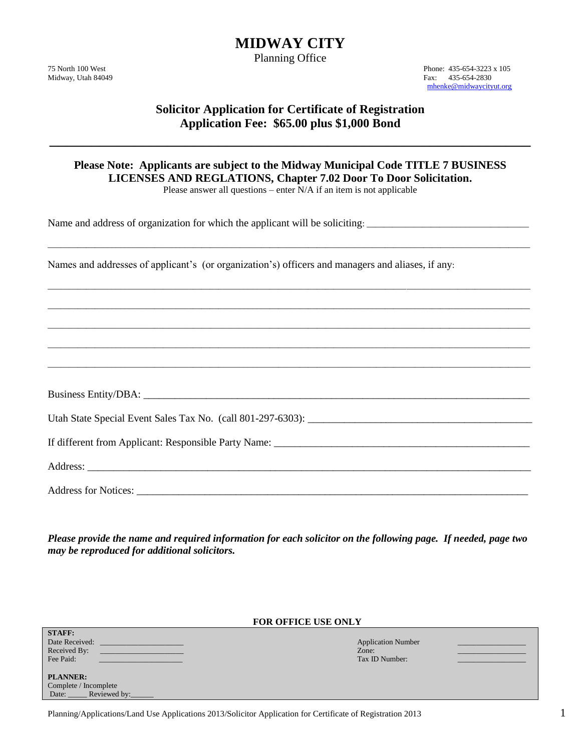# **MIDWAY CITY**

Planning Office

75 North 100 West Phone: 435-654-3223 x 105 Midway, Utah 84049 Fax: 435-654-2830 [mhenke@midwaycityut.org](mailto:mhenke@midwaycityut.org)

# **Solicitor Application for Certificate of Registration Application Fee: \$65.00 plus \$1,000 Bond**

\_\_\_\_\_\_\_\_\_\_\_\_\_\_\_\_\_\_\_\_\_\_\_\_\_\_\_\_\_\_\_\_\_\_\_\_\_\_\_\_\_\_\_\_\_\_\_\_\_\_\_\_\_\_\_\_\_

# **Please Note: Applicants are subject to the Midway Municipal Code TITLE 7 BUSINESS LICENSES AND REGLATIONS, Chapter 7.02 Door To Door Solicitation.**

Please answer all questions – enter N/A if an item is not applicable

\_\_\_\_\_\_\_\_\_\_\_\_\_\_\_\_\_\_\_\_\_\_\_\_\_\_\_\_\_\_\_\_\_\_\_\_\_\_\_\_\_\_\_\_\_\_\_\_\_\_\_\_\_\_\_\_\_\_\_\_\_\_\_\_\_\_\_\_\_\_\_\_\_\_\_\_\_\_\_\_\_\_\_\_\_\_\_\_\_\_\_\_\_\_\_\_\_\_\_\_\_\_\_\_\_\_\_\_\_\_\_\_\_

\_\_\_\_\_\_\_\_\_\_\_\_\_\_\_\_\_\_\_\_\_\_\_\_\_\_\_\_\_\_\_\_\_\_\_\_\_\_\_\_\_\_\_\_\_\_\_\_\_\_\_\_\_\_\_\_\_\_\_\_\_\_\_\_\_\_\_\_\_\_\_\_\_\_\_\_\_\_\_\_\_\_\_\_\_\_\_\_\_\_\_\_\_\_\_\_\_\_\_\_\_\_\_\_\_\_\_\_\_\_\_\_\_

\_\_\_\_\_\_\_\_\_\_\_\_\_\_\_\_\_\_\_\_\_\_\_\_\_\_\_\_\_\_\_\_\_\_\_\_\_\_\_\_\_\_\_\_\_\_\_\_\_\_\_\_\_\_\_\_\_\_\_\_\_\_\_\_\_\_\_\_\_\_\_\_\_\_\_\_\_\_\_\_\_\_\_\_\_\_\_\_\_\_\_\_\_\_\_\_\_\_\_\_\_\_\_\_\_\_\_\_\_\_\_\_\_

\_\_\_\_\_\_\_\_\_\_\_\_\_\_\_\_\_\_\_\_\_\_\_\_\_\_\_\_\_\_\_\_\_\_\_\_\_\_\_\_\_\_\_\_\_\_\_\_\_\_\_\_\_\_\_\_\_\_\_\_\_\_\_\_\_\_\_\_\_\_\_\_\_\_\_\_\_\_\_\_\_\_\_\_\_\_\_\_\_\_\_\_\_\_\_\_\_\_\_\_\_\_\_\_\_\_\_\_\_\_\_\_\_

\_\_\_\_\_\_\_\_\_\_\_\_\_\_\_\_\_\_\_\_\_\_\_\_\_\_\_\_\_\_\_\_\_\_\_\_\_\_\_\_\_\_\_\_\_\_\_\_\_\_\_\_\_\_\_\_\_\_\_\_\_\_\_\_\_\_\_\_\_\_\_\_\_\_\_\_\_\_\_\_\_\_\_\_\_\_\_\_\_\_\_\_\_\_\_\_\_\_\_\_\_\_\_\_\_\_\_\_\_\_\_\_\_

\_\_\_\_\_\_\_\_\_\_\_\_\_\_\_\_\_\_\_\_\_\_\_\_\_\_\_\_\_\_\_\_\_\_\_\_\_\_\_\_\_\_\_\_\_\_\_\_\_\_\_\_\_\_\_\_\_\_\_\_\_\_\_\_\_\_\_\_\_\_\_\_\_\_\_\_\_\_\_\_\_\_\_\_\_\_\_\_\_\_\_\_\_\_\_\_\_\_\_\_\_\_\_\_\_\_\_\_\_\_\_\_\_

Name and address of organization for which the applicant will be soliciting: \_\_\_\_\_\_\_\_\_\_\_\_\_\_\_\_\_\_\_\_\_\_\_\_\_\_\_\_\_\_\_\_\_\_\_\_\_\_

Names and addresses of applicant's (or organization's) officers and managers and aliases, if any:

Business Entity/DBA: \_\_\_\_\_\_\_\_\_\_\_\_\_\_\_\_\_\_\_\_\_\_\_\_\_\_\_\_\_\_\_\_\_\_\_\_\_\_\_\_\_\_\_\_\_\_\_\_\_\_\_\_\_\_\_\_\_\_\_\_\_\_\_\_\_\_\_\_\_\_\_\_\_\_

Utah State Special Event Sales Tax No. (call 801-297-6303):

If different from Applicant: Responsible Party Name: \_\_\_\_\_\_\_\_\_\_\_\_\_\_\_\_\_\_\_\_\_\_\_\_\_\_\_\_\_\_\_\_\_\_\_\_\_\_\_\_\_\_\_\_\_\_\_\_\_

Address:

**STAFF:**

Address for Notices: \_\_\_\_\_\_\_\_\_\_\_\_\_\_\_\_\_\_\_\_\_\_\_\_\_\_\_\_\_\_\_\_\_\_\_\_\_\_\_\_\_\_\_\_\_\_\_\_\_\_\_\_\_\_\_\_\_\_\_\_\_\_\_\_\_\_\_\_\_\_\_\_\_\_\_

*Please provide the name and required information for each solicitor on the following page. If needed, page two may be reproduced for additional solicitors.*

#### **FOR OFFICE USE ONLY**

| Date Received:<br>Received By:<br>Fee Paid:                               | <b>Application Number</b><br>Zone:<br>Tax ID Number: |  |
|---------------------------------------------------------------------------|------------------------------------------------------|--|
| <b>PLANNER:</b><br>Complete / Incomplete<br>Reviewed by:<br>Date: $\perp$ |                                                      |  |
|                                                                           |                                                      |  |

Planning/Applications/Land Use Applications 2013/Solicitor Application for Certificate of Registration 2013 1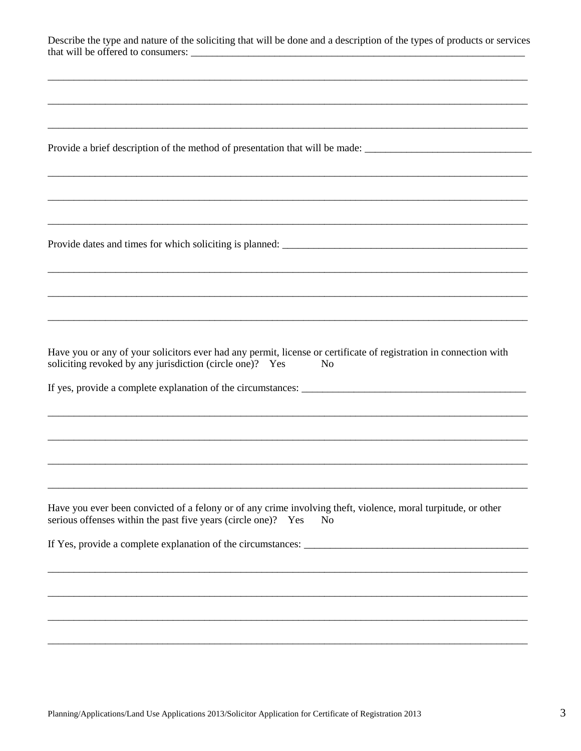| Describe the type and nature of the soliciting that will be done and a description of the types of products or services |  |
|-------------------------------------------------------------------------------------------------------------------------|--|
| that will be offered to consumers:                                                                                      |  |

Provide a brief description of the method of presentation that will be made:

Provide dates and times for which soliciting is planned:

Have you or any of your solicitors ever had any permit, license or certificate of registration in connection with soliciting revoked by any jurisdiction (circle one)? Yes N<sub>o</sub>

If yes, provide a complete explanation of the circumstances:

Have you ever been convicted of a felony or of any crime involving theft, violence, moral turpitude, or other serious offenses within the past five years (circle one)? Yes No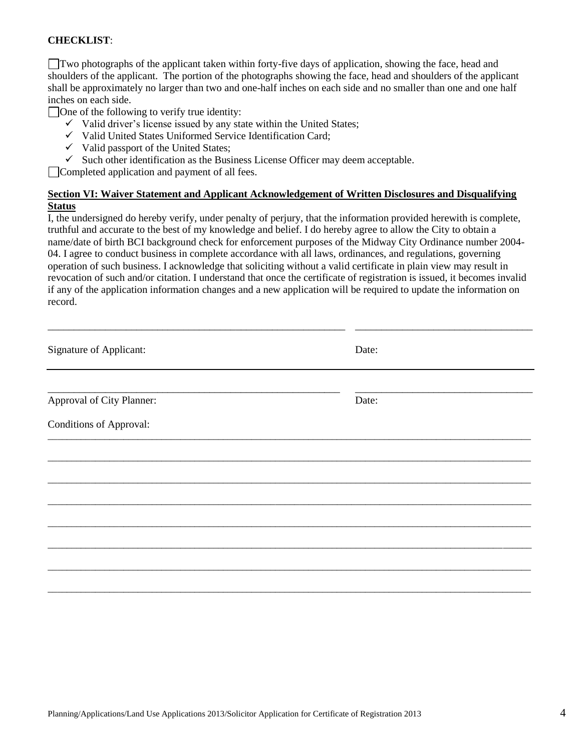#### **CHECKLIST**:

Two photographs of the applicant taken within forty-five days of application, showing the face, head and shoulders of the applicant. The portion of the photographs showing the face, head and shoulders of the applicant shall be approximately no larger than two and one-half inches on each side and no smaller than one and one half inches on each side.

 $\Box$  One of the following to verify true identity:

- $\checkmark$  Valid driver's license issued by any state within the United States;
- $\checkmark$  Valid United States Uniformed Service Identification Card;
- $\checkmark$  Valid passport of the United States:
- $\checkmark$  Such other identification as the Business License Officer may deem acceptable.

Completed application and payment of all fees.

#### **Section VI: Waiver Statement and Applicant Acknowledgement of Written Disclosures and Disqualifying Status**

I, the undersigned do hereby verify, under penalty of perjury, that the information provided herewith is complete, truthful and accurate to the best of my knowledge and belief. I do hereby agree to allow the City to obtain a name/date of birth BCI background check for enforcement purposes of the Midway City Ordinance number 2004- 04. I agree to conduct business in complete accordance with all laws, ordinances, and regulations, governing operation of such business. I acknowledge that soliciting without a valid certificate in plain view may result in revocation of such and/or citation. I understand that once the certificate of registration is issued, it becomes invalid if any of the application information changes and a new application will be required to update the information on record.

| Signature of Applicant:        |  | Date: |  |
|--------------------------------|--|-------|--|
|                                |  |       |  |
| Approval of City Planner:      |  | Date: |  |
| <b>Conditions of Approval:</b> |  |       |  |
|                                |  |       |  |
|                                |  |       |  |
|                                |  |       |  |
|                                |  |       |  |
|                                |  |       |  |
|                                |  |       |  |
|                                |  |       |  |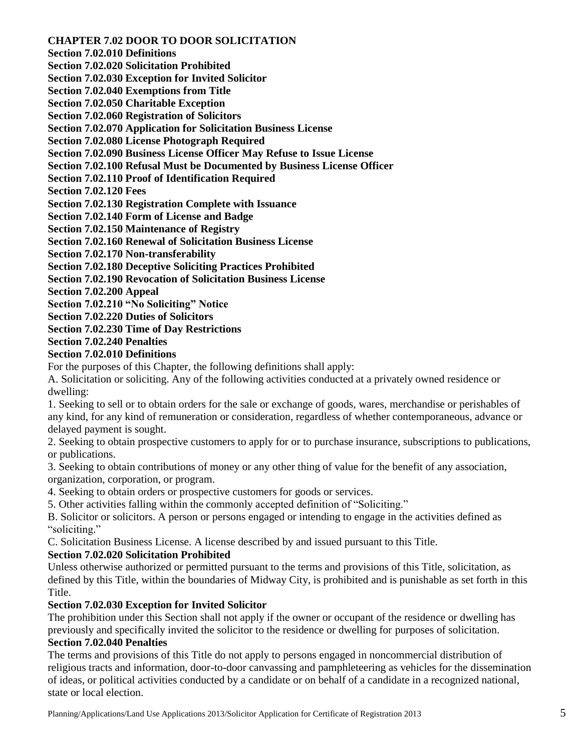**CHAPTER 7.02 DOOR TO DOOR SOLICITATION** 

**Section 7.02.010 Definitions** 

**Section 7.02.020 Solicitation Prohibited** 

**Section 7.02.030 Exception for Invited Solicitor** 

**Section 7.02.040 Exemptions from Title** 

**Section 7.02.050 Charitable Exception** 

**Section 7.02.060 Registration of Solicitors** 

**Section 7.02.070 Application for Solicitation Business License** 

**Section 7.02.080 License Photograph Required** 

**Section 7.02.090 Business License Officer May Refuse to Issue License** 

**Section 7.02.100 Refusal Must be Documented by Business License Officer** 

**Section 7.02.110 Proof of Identification Required** 

**Section 7.02.120 Fees** 

**Section 7.02.130 Registration Complete with Issuance** 

**Section 7.02.140 Form of License and Badge** 

**Section 7.02.150 Maintenance of Registry** 

**Section 7.02.160 Renewal of Solicitation Business License** 

**Section 7.02.170 Non-transferability** 

**Section 7.02.180 Deceptive Soliciting Practices Prohibited** 

**Section 7.02.190 Revocation of Solicitation Business License** 

**Section 7.02.200 Appeal** 

**Section 7.02.210 "No Soliciting" Notice** 

**Section 7.02.220 Duties of Solicitors** 

**Section 7.02.230 Time of Day Restrictions** 

**Section 7.02.240 Penalties** 

### **Section 7.02.010 Definitions**

For the purposes of this Chapter, the following definitions shall apply:

A. Solicitation or soliciting. Any of the following activities conducted at a privately owned residence or dwelling:

1. Seeking to sell or to obtain orders for the sale or exchange of goods, wares, merchandise or perishables of any kind, for any kind of remuneration or consideration, regardless of whether contemporaneous, advance or delayed payment is sought.

2. Seeking to obtain prospective customers to apply for or to purchase insurance, subscriptions to publications, or publications.

3. Seeking to obtain contributions of money or any other thing of value for the benefit of any association, organization, corporation, or program.

4. Seeking to obtain orders or prospective customers for goods or services.

5. Other activities falling within the commonly accepted definition of "Soliciting."

B. Solicitor or solicitors. A person or persons engaged or intending to engage in the activities defined as "soliciting."

C. Solicitation Business License. A license described by and issued pursuant to this Title.

# **Section 7.02.020 Solicitation Prohibited**

Unless otherwise authorized or permitted pursuant to the terms and provisions of this Title, solicitation, as defined by this Title, within the boundaries of Midway City, is prohibited and is punishable as set forth in this Title.

# **Section 7.02.030 Exception for Invited Solicitor**

The prohibition under this Section shall not apply if the owner or occupant of the residence or dwelling has previously and specifically invited the solicitor to the residence or dwelling for purposes of solicitation.

# **Section 7.02.040 Penalties**

The terms and provisions of this Title do not apply to persons engaged in noncommercial distribution of religious tracts and information, door-to-door canvassing and pamphleteering as vehicles for the dissemination of ideas, or political activities conducted by a candidate or on behalf of a candidate in a recognized national, state or local election.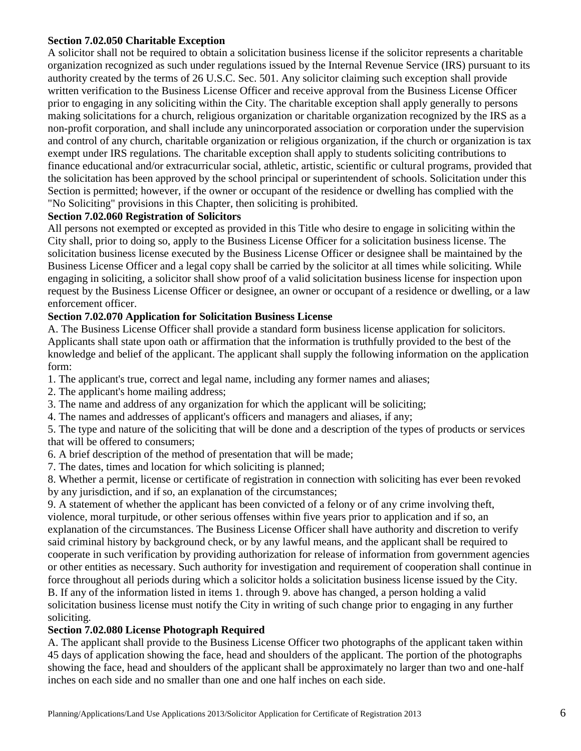#### **Section 7.02.050 Charitable Exception**

A solicitor shall not be required to obtain a solicitation business license if the solicitor represents a charitable organization recognized as such under regulations issued by the Internal Revenue Service (IRS) pursuant to its authority created by the terms of 26 U.S.C. Sec. 501. Any solicitor claiming such exception shall provide written verification to the Business License Officer and receive approval from the Business License Officer prior to engaging in any soliciting within the City. The charitable exception shall apply generally to persons making solicitations for a church, religious organization or charitable organization recognized by the IRS as a non-profit corporation, and shall include any unincorporated association or corporation under the supervision and control of any church, charitable organization or religious organization, if the church or organization is tax exempt under IRS regulations. The charitable exception shall apply to students soliciting contributions to finance educational and/or extracurricular social, athletic, artistic, scientific or cultural programs, provided that the solicitation has been approved by the school principal or superintendent of schools. Solicitation under this Section is permitted; however, if the owner or occupant of the residence or dwelling has complied with the "No Soliciting" provisions in this Chapter, then soliciting is prohibited.

### **Section 7.02.060 Registration of Solicitors**

All persons not exempted or excepted as provided in this Title who desire to engage in soliciting within the City shall, prior to doing so, apply to the Business License Officer for a solicitation business license. The solicitation business license executed by the Business License Officer or designee shall be maintained by the Business License Officer and a legal copy shall be carried by the solicitor at all times while soliciting. While engaging in soliciting, a solicitor shall show proof of a valid solicitation business license for inspection upon request by the Business License Officer or designee, an owner or occupant of a residence or dwelling, or a law enforcement officer.

# **Section 7.02.070 Application for Solicitation Business License**

A. The Business License Officer shall provide a standard form business license application for solicitors. Applicants shall state upon oath or affirmation that the information is truthfully provided to the best of the knowledge and belief of the applicant. The applicant shall supply the following information on the application form:

- 1. The applicant's true, correct and legal name, including any former names and aliases;
- 2. The applicant's home mailing address;
- 3. The name and address of any organization for which the applicant will be soliciting;
- 4. The names and addresses of applicant's officers and managers and aliases, if any;

5. The type and nature of the soliciting that will be done and a description of the types of products or services that will be offered to consumers;

- 6. A brief description of the method of presentation that will be made;
- 7. The dates, times and location for which soliciting is planned;

8. Whether a permit, license or certificate of registration in connection with soliciting has ever been revoked by any jurisdiction, and if so, an explanation of the circumstances;

9. A statement of whether the applicant has been convicted of a felony or of any crime involving theft, violence, moral turpitude, or other serious offenses within five years prior to application and if so, an explanation of the circumstances. The Business License Officer shall have authority and discretion to verify said criminal history by background check, or by any lawful means, and the applicant shall be required to cooperate in such verification by providing authorization for release of information from government agencies or other entities as necessary. Such authority for investigation and requirement of cooperation shall continue in force throughout all periods during which a solicitor holds a solicitation business license issued by the City. B. If any of the information listed in items 1. through 9. above has changed, a person holding a valid solicitation business license must notify the City in writing of such change prior to engaging in any further soliciting.

#### **Section 7.02.080 License Photograph Required**

A. The applicant shall provide to the Business License Officer two photographs of the applicant taken within 45 days of application showing the face, head and shoulders of the applicant. The portion of the photographs showing the face, head and shoulders of the applicant shall be approximately no larger than two and one-half inches on each side and no smaller than one and one half inches on each side.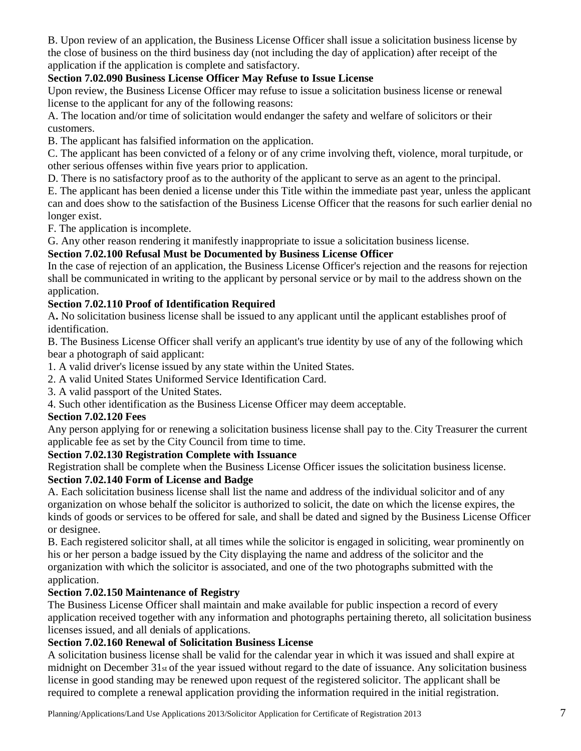B. Upon review of an application, the Business License Officer shall issue a solicitation business license by the close of business on the third business day (not including the day of application) after receipt of the application if the application is complete and satisfactory.

# **Section 7.02.090 Business License Officer May Refuse to Issue License**

Upon review, the Business License Officer may refuse to issue a solicitation business license or renewal license to the applicant for any of the following reasons:

A. The location and/or time of solicitation would endanger the safety and welfare of solicitors or their customers.

B. The applicant has falsified information on the application.

C. The applicant has been convicted of a felony or of any crime involving theft, violence, moral turpitude, or other serious offenses within five years prior to application.

D. There is no satisfactory proof as to the authority of the applicant to serve as an agent to the principal.

E. The applicant has been denied a license under this Title within the immediate past year, unless the applicant can and does show to the satisfaction of the Business License Officer that the reasons for such earlier denial no longer exist.

F. The application is incomplete.

G. Any other reason rendering it manifestly inappropriate to issue a solicitation business license.

# **Section 7.02.100 Refusal Must be Documented by Business License Officer**

In the case of rejection of an application, the Business License Officer's rejection and the reasons for rejection shall be communicated in writing to the applicant by personal service or by mail to the address shown on the application.

# **Section 7.02.110 Proof of Identification Required**

A**.** No solicitation business license shall be issued to any applicant until the applicant establishes proof of identification.

B. The Business License Officer shall verify an applicant's true identity by use of any of the following which bear a photograph of said applicant:

1. A valid driver's license issued by any state within the United States.

2. A valid United States Uniformed Service Identification Card.

3. A valid passport of the United States.

4. Such other identification as the Business License Officer may deem acceptable.

# **Section 7.02.120 Fees**

Any person applying for or renewing a solicitation business license shall pay to the. City Treasurer the current applicable fee as set by the City Council from time to time.

#### **Section 7.02.130 Registration Complete with Issuance**

Registration shall be complete when the Business License Officer issues the solicitation business license. **Section 7.02.140 Form of License and Badge** 

A. Each solicitation business license shall list the name and address of the individual solicitor and of any organization on whose behalf the solicitor is authorized to solicit, the date on which the license expires, the kinds of goods or services to be offered for sale, and shall be dated and signed by the Business License Officer or designee.

B. Each registered solicitor shall, at all times while the solicitor is engaged in soliciting, wear prominently on his or her person a badge issued by the City displaying the name and address of the solicitor and the organization with which the solicitor is associated, and one of the two photographs submitted with the application.

# **Section 7.02.150 Maintenance of Registry**

The Business License Officer shall maintain and make available for public inspection a record of every application received together with any information and photographs pertaining thereto, all solicitation business licenses issued, and all denials of applications.

### **Section 7.02.160 Renewal of Solicitation Business License**

A solicitation business license shall be valid for the calendar year in which it was issued and shall expire at midnight on December 31st of the year issued without regard to the date of issuance. Any solicitation business license in good standing may be renewed upon request of the registered solicitor. The applicant shall be required to complete a renewal application providing the information required in the initial registration.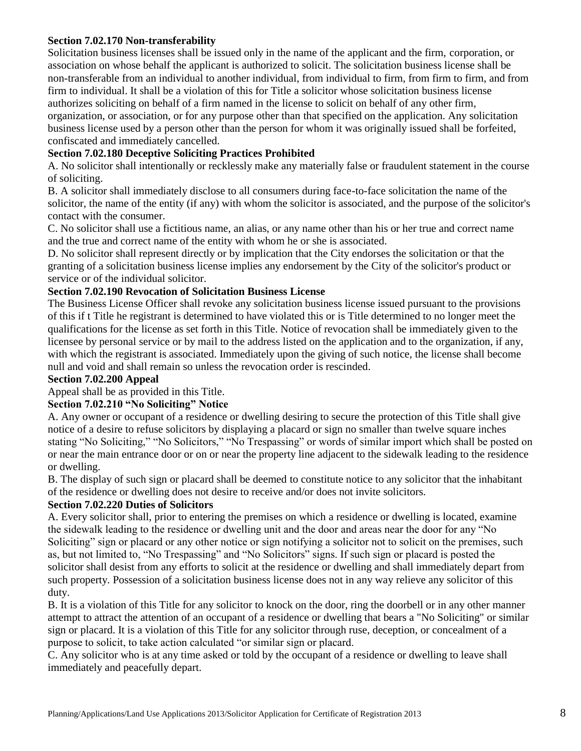#### **Section 7.02.170 Non-transferability**

Solicitation business licenses shall be issued only in the name of the applicant and the firm, corporation, or association on whose behalf the applicant is authorized to solicit. The solicitation business license shall be non-transferable from an individual to another individual, from individual to firm, from firm to firm, and from firm to individual. It shall be a violation of this for Title a solicitor whose solicitation business license authorizes soliciting on behalf of a firm named in the license to solicit on behalf of any other firm, organization, or association, or for any purpose other than that specified on the application. Any solicitation business license used by a person other than the person for whom it was originally issued shall be forfeited, confiscated and immediately cancelled.

# **Section 7.02.180 Deceptive Soliciting Practices Prohibited**

A. No solicitor shall intentionally or recklessly make any materially false or fraudulent statement in the course of soliciting.

B. A solicitor shall immediately disclose to all consumers during face-to-face solicitation the name of the solicitor, the name of the entity (if any) with whom the solicitor is associated, and the purpose of the solicitor's contact with the consumer.

C. No solicitor shall use a fictitious name, an alias, or any name other than his or her true and correct name and the true and correct name of the entity with whom he or she is associated.

D. No solicitor shall represent directly or by implication that the City endorses the solicitation or that the granting of a solicitation business license implies any endorsement by the City of the solicitor's product or service or of the individual solicitor.

#### **Section 7.02.190 Revocation of Solicitation Business License**

The Business License Officer shall revoke any solicitation business license issued pursuant to the provisions of this if t Title he registrant is determined to have violated this or is Title determined to no longer meet the qualifications for the license as set forth in this Title. Notice of revocation shall be immediately given to the licensee by personal service or by mail to the address listed on the application and to the organization, if any, with which the registrant is associated. Immediately upon the giving of such notice, the license shall become null and void and shall remain so unless the revocation order is rescinded.

#### **Section 7.02.200 Appeal**

Appeal shall be as provided in this Title.

#### **Section 7.02.210 "No Soliciting" Notice**

A. Any owner or occupant of a residence or dwelling desiring to secure the protection of this Title shall give notice of a desire to refuse solicitors by displaying a placard or sign no smaller than twelve square inches stating "No Soliciting," "No Solicitors," "No Trespassing" or words of similar import which shall be posted on or near the main entrance door or on or near the property line adjacent to the sidewalk leading to the residence or dwelling.

B. The display of such sign or placard shall be deemed to constitute notice to any solicitor that the inhabitant of the residence or dwelling does not desire to receive and/or does not invite solicitors.

#### **Section 7.02.220 Duties of Solicitors**

A. Every solicitor shall, prior to entering the premises on which a residence or dwelling is located, examine the sidewalk leading to the residence or dwelling unit and the door and areas near the door for any "No Soliciting" sign or placard or any other notice or sign notifying a solicitor not to solicit on the premises, such as, but not limited to, "No Trespassing" and "No Solicitors" signs. If such sign or placard is posted the solicitor shall desist from any efforts to solicit at the residence or dwelling and shall immediately depart from such property. Possession of a solicitation business license does not in any way relieve any solicitor of this duty.

B. It is a violation of this Title for any solicitor to knock on the door, ring the doorbell or in any other manner attempt to attract the attention of an occupant of a residence or dwelling that bears a "No Soliciting" or similar sign or placard. It is a violation of this Title for any solicitor through ruse, deception, or concealment of a purpose to solicit, to take action calculated "or similar sign or placard.

C. Any solicitor who is at any time asked or told by the occupant of a residence or dwelling to leave shall immediately and peacefully depart.